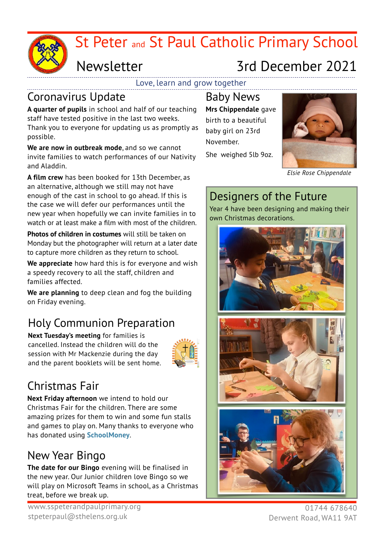

# St Peter and St Paul Catholic Primary School

## Newsletter

# 3rd December 2021

Love, learn and grow together

#### Coronavirus Update

**A quarter of pupils** in school and half of our teaching staff have tested positive in the last two weeks. Thank you to everyone for updating us as promptly as possible.

**We are now in outbreak mode**, and so we cannot invite families to watch performances of our Nativity and Aladdin.

**A film crew** has been booked for 13th December, as an alternative, although we still may not have enough of the cast in school to go ahead. If this is the case we will defer our performances until the new year when hopefully we can invite families in to watch or at least make a film with most of the children.

**Photos of children in costumes** will still be taken on Monday but the photographer will return at a later date to capture more children as they return to school.

**We appreciate** how hard this is for everyone and wish a speedy recovery to all the staff, children and families affected.

**We are planning** to deep clean and fog the building on Friday evening.

## Holy Communion Preparation

**Next Tuesday's meeting** for families is cancelled. Instead the children will do the session with Mr Mackenzie during the day and the parent booklets will be sent home.



## Christmas Fair

**Next Friday afternoon** we intend to hold our Christmas Fair for the children. There are some amazing prizes for them to win and some fun stalls and games to play on. Many thanks to everyone who has donated using **SchoolMoney**.

## New Year Bingo

**The date for our Bingo** evening will be finalised in the new year. Our Junior children love Bingo so we will play on Microsoft Teams in school, as a Christmas treat, before we break up.

Baby News **Mrs Chippendale** gave birth to a beautiful baby girl on 23rd November.

She weighed 5lb 9oz.



*Elsie Rose Chippendale*

## Designers of the Future

Year 4 have been designing and making their own Christmas decorations.



01744 678640 Derwent Road, WA11 9AT